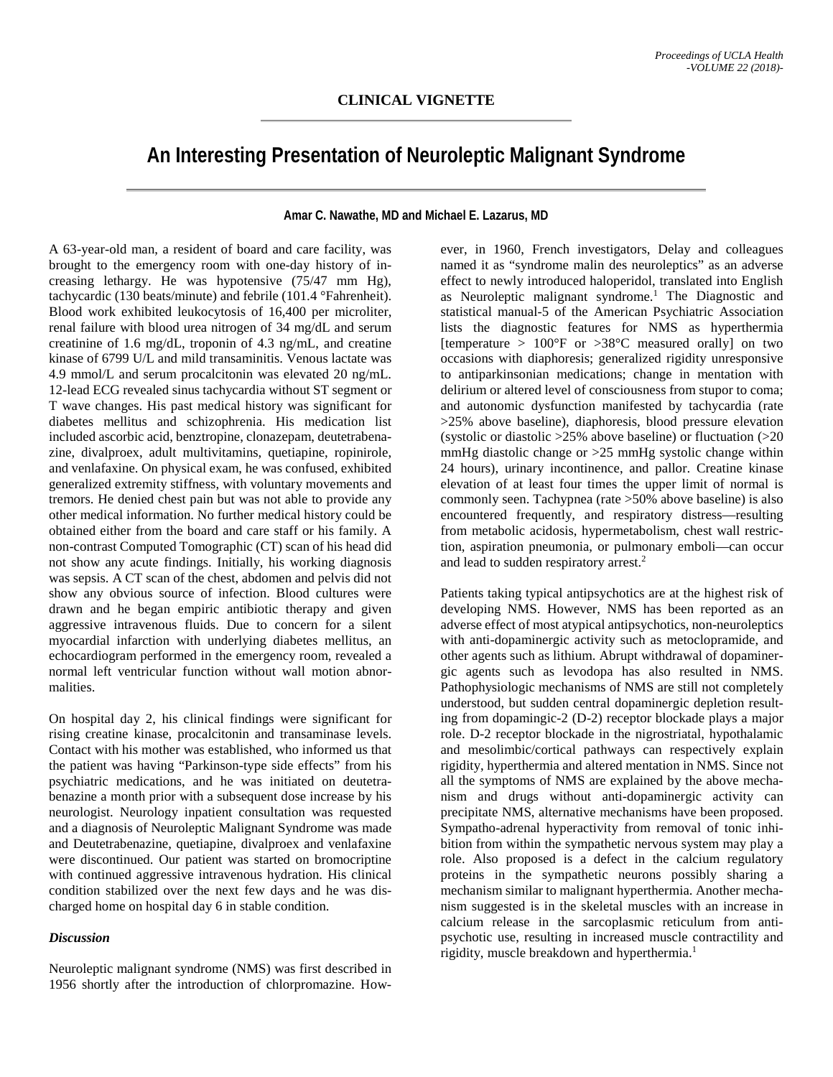## **An Interesting Presentation of Neuroleptic Malignant Syndrome**

## **Amar C. Nawathe, MD and Michael E. Lazarus, MD**

A 63-year-old man, a resident of board and care facility, was brought to the emergency room with one-day history of increasing lethargy. He was hypotensive (75/47 mm Hg), tachycardic (130 beats/minute) and febrile (101.4 °Fahrenheit). Blood work exhibited leukocytosis of 16,400 per microliter, renal failure with blood urea nitrogen of 34 mg/dL and serum creatinine of 1.6 mg/dL, troponin of 4.3 ng/mL, and creatine kinase of 6799 U/L and mild transaminitis. Venous lactate was 4.9 mmol/L and serum procalcitonin was elevated 20 ng/mL. 12-lead ECG revealed sinus tachycardia without ST segment or T wave changes. His past medical history was significant for diabetes mellitus and schizophrenia. His medication list included ascorbic acid, benztropine, clonazepam, deutetrabenazine, divalproex, adult multivitamins, quetiapine, ropinirole, and venlafaxine. On physical exam, he was confused, exhibited generalized extremity stiffness, with voluntary movements and tremors. He denied chest pain but was not able to provide any other medical information. No further medical history could be obtained either from the board and care staff or his family. A non-contrast Computed Tomographic (CT) scan of his head did not show any acute findings. Initially, his working diagnosis was sepsis. A CT scan of the chest, abdomen and pelvis did not show any obvious source of infection. Blood cultures were drawn and he began empiric antibiotic therapy and given aggressive intravenous fluids. Due to concern for a silent myocardial infarction with underlying diabetes mellitus, an echocardiogram performed in the emergency room, revealed a normal left ventricular function without wall motion abnormalities.

On hospital day 2, his clinical findings were significant for rising creatine kinase, procalcitonin and transaminase levels. Contact with his mother was established, who informed us that the patient was having "Parkinson-type side effects" from his psychiatric medications, and he was initiated on deutetrabenazine a month prior with a subsequent dose increase by his neurologist. Neurology inpatient consultation was requested and a diagnosis of Neuroleptic Malignant Syndrome was made and Deutetrabenazine, quetiapine, divalproex and venlafaxine were discontinued. Our patient was started on bromocriptine with continued aggressive intravenous hydration. His clinical condition stabilized over the next few days and he was discharged home on hospital day 6 in stable condition.

## *Discussion*

Neuroleptic malignant syndrome (NMS) was first described in 1956 shortly after the introduction of chlorpromazine. How-

ever, in 1960, French investigators, Delay and colleagues named it as "syndrome malin des neuroleptics" as an adverse effect to newly introduced haloperidol, translated into English as Neuroleptic malignant syndrome.<sup>1</sup> The Diagnostic and statistical manual-5 of the American Psychiatric Association lists the diagnostic features for NMS as hyperthermia [temperature > 100°F or >38°C measured orally] on two occasions with diaphoresis; generalized rigidity unresponsive to antiparkinsonian medications; change in mentation with delirium or altered level of consciousness from stupor to coma; and autonomic dysfunction manifested by tachycardia (rate >25% above baseline), diaphoresis, blood pressure elevation (systolic or diastolic  $>25\%$  above baseline) or fluctuation ( $>20$ mmHg diastolic change or  $>25$  mmHg systolic change within 24 hours), urinary incontinence, and pallor. Creatine kinase elevation of at least four times the upper limit of normal is commonly seen. Tachypnea (rate >50% above baseline) is also encountered frequently, and respiratory distress—resulting from metabolic acidosis, hypermetabolism, chest wall restriction, aspiration pneumonia, or pulmonary emboli—can occur and lead to sudden respiratory arrest. 2

Patients taking typical antipsychotics are at the highest risk of developing NMS. However, NMS has been reported as an adverse effect of most atypical antipsychotics, non-neuroleptics with anti-dopaminergic activity such as metoclopramide, and other agents such as lithium. Abrupt withdrawal of dopaminergic agents such as levodopa has also resulted in NMS. Pathophysiologic mechanisms of NMS are still not completely understood, but sudden central dopaminergic depletion resulting from dopamingic-2 (D-2) receptor blockade plays a major role. D-2 receptor blockade in the nigrostriatal, hypothalamic and mesolimbic/cortical pathways can respectively explain rigidity, hyperthermia and altered mentation in NMS. Since not all the symptoms of NMS are explained by the above mechanism and drugs without anti-dopaminergic activity can precipitate NMS, alternative mechanisms have been proposed. Sympatho-adrenal hyperactivity from removal of tonic inhibition from within the sympathetic nervous system may play a role. Also proposed is a defect in the calcium regulatory proteins in the sympathetic neurons possibly sharing a mechanism similar to malignant hyperthermia. Another mechanism suggested is in the skeletal muscles with an increase in calcium release in the sarcoplasmic reticulum from antipsychotic use, resulting in increased muscle contractility and rigidity, muscle breakdown and hyperthermia.<sup>1</sup>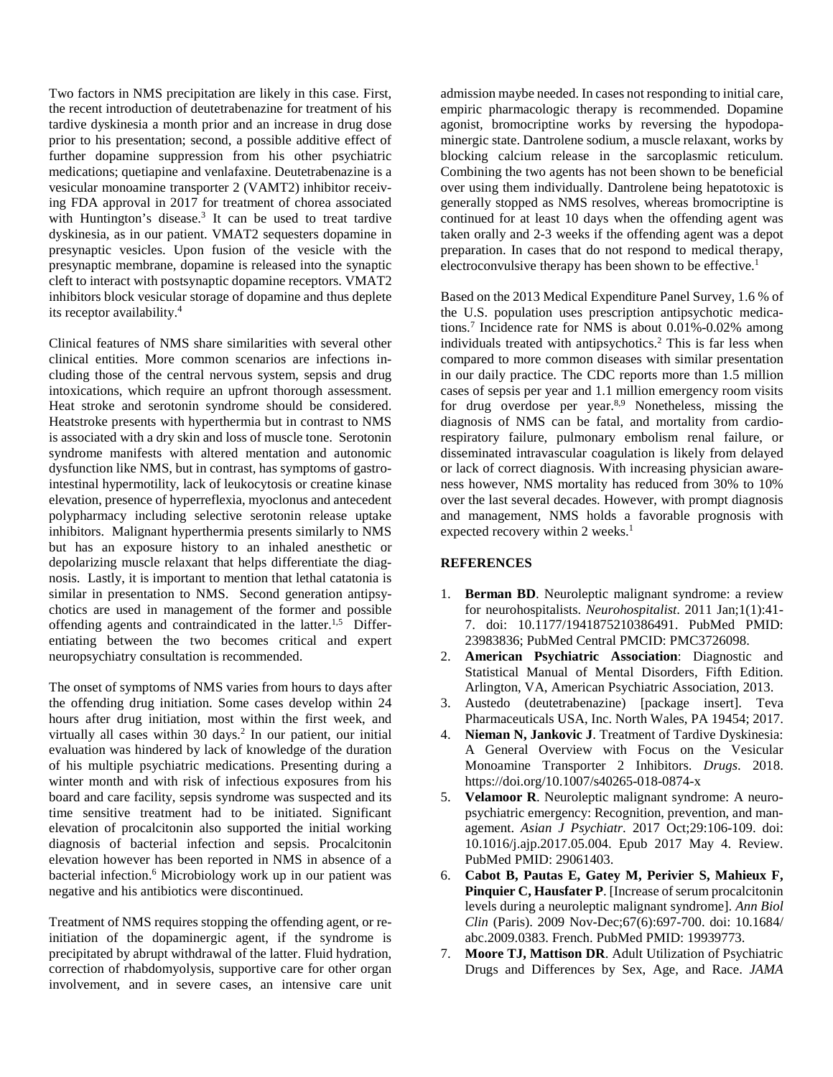Two factors in NMS precipitation are likely in this case. First, the recent introduction of deutetrabenazine for treatment of his tardive dyskinesia a month prior and an increase in drug dose prior to his presentation; second, a possible additive effect of further dopamine suppression from his other psychiatric medications; quetiapine and venlafaxine. Deutetrabenazine is a vesicular monoamine transporter 2 (VAMT2) inhibitor receiving FDA approval in 2017 for treatment of chorea associated with Huntington's disease.<sup>3</sup> It can be used to treat tardive dyskinesia, as in our patient. VMAT2 sequesters dopamine in presynaptic vesicles. Upon fusion of the vesicle with the presynaptic membrane, dopamine is released into the synaptic cleft to interact with postsynaptic dopamine receptors. VMAT2 inhibitors block vesicular storage of dopamine and thus deplete its receptor availability. 4

Clinical features of NMS share similarities with several other clinical entities. More common scenarios are infections including those of the central nervous system, sepsis and drug intoxications, which require an upfront thorough assessment. Heat stroke and serotonin syndrome should be considered. Heatstroke presents with hyperthermia but in contrast to NMS is associated with a dry skin and loss of muscle tone. Serotonin syndrome manifests with altered mentation and autonomic dysfunction like NMS, but in contrast, has symptoms of gastrointestinal hypermotility, lack of leukocytosis or creatine kinase elevation, presence of hyperreflexia, myoclonus and antecedent polypharmacy including selective serotonin release uptake inhibitors. Malignant hyperthermia presents similarly to NMS but has an exposure history to an inhaled anesthetic or depolarizing muscle relaxant that helps differentiate the diagnosis. Lastly, it is important to mention that lethal catatonia is similar in presentation to NMS. Second generation antipsychotics are used in management of the former and possible offending agents and contraindicated in the latter.<sup>1,5</sup> Differentiating between the two becomes critical and expert neuropsychiatry consultation is recommended.

The onset of symptoms of NMS varies from hours to days after the offending drug initiation. Some cases develop within 24 hours after drug initiation, most within the first week, and virtually all cases within 30 days.<sup>2</sup> In our patient, our initial evaluation was hindered by lack of knowledge of the duration of his multiple psychiatric medications. Presenting during a winter month and with risk of infectious exposures from his board and care facility, sepsis syndrome was suspected and its time sensitive treatment had to be initiated. Significant elevation of procalcitonin also supported the initial working diagnosis of bacterial infection and sepsis. Procalcitonin elevation however has been reported in NMS in absence of a bacterial infection.<sup>6</sup> Microbiology work up in our patient was negative and his antibiotics were discontinued.

Treatment of NMS requires stopping the offending agent, or reinitiation of the dopaminergic agent, if the syndrome is precipitated by abrupt withdrawal of the latter. Fluid hydration, correction of rhabdomyolysis, supportive care for other organ involvement, and in severe cases, an intensive care unit

admission maybe needed. In cases not responding to initial care, empiric pharmacologic therapy is recommended. Dopamine agonist, bromocriptine works by reversing the hypodopaminergic state. Dantrolene sodium, a muscle relaxant, works by blocking calcium release in the sarcoplasmic reticulum. Combining the two agents has not been shown to be beneficial over using them individually. Dantrolene being hepatotoxic is generally stopped as NMS resolves, whereas bromocriptine is continued for at least 10 days when the offending agent was taken orally and 2-3 weeks if the offending agent was a depot preparation. In cases that do not respond to medical therapy, electroconvulsive therapy has been shown to be effective.<sup>1</sup>

Based on the 2013 Medical Expenditure Panel Survey, 1.6 % of the U.S. population uses prescription antipsychotic medications.7 Incidence rate for NMS is about 0.01%-0.02% among individuals treated with antipsychotics.<sup>2</sup> This is far less when compared to more common diseases with similar presentation in our daily practice. The CDC reports more than 1.5 million cases of sepsis per year and 1.1 million emergency room visits for drug overdose per year.<sup>8,9</sup> Nonetheless, missing the diagnosis of NMS can be fatal, and mortality from cardiorespiratory failure, pulmonary embolism renal failure, or disseminated intravascular coagulation is likely from delayed or lack of correct diagnosis. With increasing physician awareness however, NMS mortality has reduced from 30% to 10% over the last several decades. However, with prompt diagnosis and management, NMS holds a favorable prognosis with expected recovery within 2 weeks.<sup>1</sup>

## **REFERENCES**

- 1. **Berman BD**. Neuroleptic malignant syndrome: a review for neurohospitalists. *Neurohospitalist*. 2011 Jan;1(1):41- 7. doi: 10.1177/1941875210386491. PubMed PMID: 23983836; PubMed Central PMCID: PMC3726098.
- 2. **American Psychiatric Association**: Diagnostic and Statistical Manual of Mental Disorders, Fifth Edition. Arlington, VA, American Psychiatric Association, 2013.
- 3. Austedo (deutetrabenazine) [package insert]. Teva Pharmaceuticals USA, Inc. North Wales, PA 19454; 2017.
- 4. **Nieman N, Jankovic J**. Treatment of Tardive Dyskinesia: A General Overview with Focus on the Vesicular Monoamine Transporter 2 Inhibitors. *Drugs*. 2018. https://doi.org/10.1007/s40265-018-0874-x
- 5. **Velamoor R**. Neuroleptic malignant syndrome: A neuropsychiatric emergency: Recognition, prevention, and management. *Asian J Psychiatr*. 2017 Oct;29:106-109. doi: 10.1016/j.ajp.2017.05.004. Epub 2017 May 4. Review. PubMed PMID: 29061403.
- 6. **Cabot B, Pautas E, Gatey M, Perivier S, Mahieux F, Pinquier C, Hausfater P**. [Increase of serum procalcitonin levels during a neuroleptic malignant syndrome]. *Ann Biol Clin* (Paris). 2009 Nov-Dec;67(6):697-700. doi: 10.1684/ abc.2009.0383. French. PubMed PMID: 19939773.
- 7. **Moore TJ, Mattison DR**. Adult Utilization of Psychiatric Drugs and Differences by Sex, Age, and Race. *JAMA*